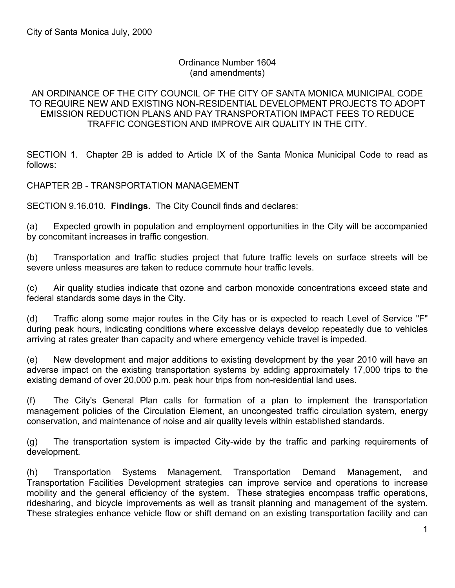#### Ordinance Number 1604 (and amendments)

#### AN ORDINANCE OF THE CITY COUNCIL OF THE CITY OF SANTA MONICA MUNICIPAL CODE TO REQUIRE NEW AND EXISTING NON-RESIDENTIAL DEVELOPMENT PROJECTS TO ADOPT EMISSION REDUCTION PLANS AND PAY TRANSPORTATION IMPACT FEES TO REDUCE TRAFFIC CONGESTION AND IMPROVE AIR QUALITY IN THE CITY.

SECTION 1. Chapter 2B is added to Article IX of the Santa Monica Municipal Code to read as follows:

CHAPTER 2B - TRANSPORTATION MANAGEMENT

SECTION 9.16.010. **Findings.** The City Council finds and declares:

(a) Expected growth in population and employment opportunities in the City will be accompanied by concomitant increases in traffic congestion.

(b) Transportation and traffic studies project that future traffic levels on surface streets will be severe unless measures are taken to reduce commute hour traffic levels.

(c) Air quality studies indicate that ozone and carbon monoxide concentrations exceed state and federal standards some days in the City.

(d) Traffic along some major routes in the City has or is expected to reach Level of Service "F" during peak hours, indicating conditions where excessive delays develop repeatedly due to vehicles arriving at rates greater than capacity and where emergency vehicle travel is impeded.

(e) New development and major additions to existing development by the year 2010 will have an adverse impact on the existing transportation systems by adding approximately 17,000 trips to the existing demand of over 20,000 p.m. peak hour trips from non-residential land uses.

(f) The City's General Plan calls for formation of a plan to implement the transportation management policies of the Circulation Element, an uncongested traffic circulation system, energy conservation, and maintenance of noise and air quality levels within established standards.

(g) The transportation system is impacted City-wide by the traffic and parking requirements of development.

(h) Transportation Systems Management, Transportation Demand Management, and Transportation Facilities Development strategies can improve service and operations to increase mobility and the general efficiency of the system. These strategies encompass traffic operations, ridesharing, and bicycle improvements as well as transit planning and management of the system. These strategies enhance vehicle flow or shift demand on an existing transportation facility and can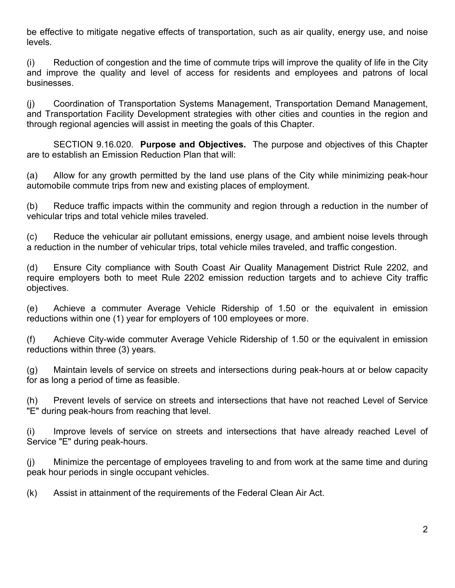be effective to mitigate negative effects of transportation, such as air quality, energy use, and noise levels.

(i) Reduction of congestion and the time of commute trips will improve the quality of life in the City and improve the quality and level of access for residents and employees and patrons of local businesses.

(j) Coordination of Transportation Systems Management, Transportation Demand Management, and Transportation Facility Development strategies with other cities and counties in the region and through regional agencies will assist in meeting the goals of this Chapter.

 SECTION 9.16.020. **Purpose and Objectives.** The purpose and objectives of this Chapter are to establish an Emission Reduction Plan that will:

(a) Allow for any growth permitted by the land use plans of the City while minimizing peak-hour automobile commute trips from new and existing places of employment.

(b) Reduce traffic impacts within the community and region through a reduction in the number of vehicular trips and total vehicle miles traveled.

(c) Reduce the vehicular air pollutant emissions, energy usage, and ambient noise levels through a reduction in the number of vehicular trips, total vehicle miles traveled, and traffic congestion.

(d) Ensure City compliance with South Coast Air Quality Management District Rule 2202, and require employers both to meet Rule 2202 emission reduction targets and to achieve City traffic objectives.

(e) Achieve a commuter Average Vehicle Ridership of 1.50 or the equivalent in emission reductions within one (1) year for employers of 100 employees or more.

(f) Achieve City-wide commuter Average Vehicle Ridership of 1.50 or the equivalent in emission reductions within three (3) years.

(g) Maintain levels of service on streets and intersections during peak-hours at or below capacity for as long a period of time as feasible.

(h) Prevent levels of service on streets and intersections that have not reached Level of Service "E" during peak-hours from reaching that level.

(i) Improve levels of service on streets and intersections that have already reached Level of Service "E" during peak-hours.

(j) Minimize the percentage of employees traveling to and from work at the same time and during peak hour periods in single occupant vehicles.

(k) Assist in attainment of the requirements of the Federal Clean Air Act.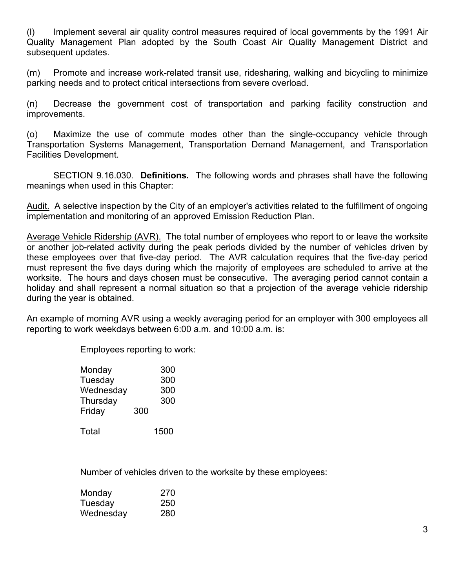(l) Implement several air quality control measures required of local governments by the 1991 Air Quality Management Plan adopted by the South Coast Air Quality Management District and subsequent updates.

(m) Promote and increase work-related transit use, ridesharing, walking and bicycling to minimize parking needs and to protect critical intersections from severe overload.

(n) Decrease the government cost of transportation and parking facility construction and improvements.

(o) Maximize the use of commute modes other than the single-occupancy vehicle through Transportation Systems Management, Transportation Demand Management, and Transportation Facilities Development.

 SECTION 9.16.030. **Definitions.** The following words and phrases shall have the following meanings when used in this Chapter:

Audit. A selective inspection by the City of an employer's activities related to the fulfillment of ongoing implementation and monitoring of an approved Emission Reduction Plan.

Average Vehicle Ridership (AVR). The total number of employees who report to or leave the worksite or another job-related activity during the peak periods divided by the number of vehicles driven by these employees over that five-day period. The AVR calculation requires that the five-day period must represent the five days during which the majority of employees are scheduled to arrive at the worksite. The hours and days chosen must be consecutive. The averaging period cannot contain a holiday and shall represent a normal situation so that a projection of the average vehicle ridership during the year is obtained.

An example of morning AVR using a weekly averaging period for an employer with 300 employees all reporting to work weekdays between 6:00 a.m. and 10:00 a.m. is:

Employees reporting to work:

| Monday    |     | 300 |
|-----------|-----|-----|
| Tuesday   |     | 300 |
| Wednesday |     | 300 |
| Thursday  |     | 300 |
| Friday    | 300 |     |
|           |     |     |

Total 1500

Number of vehicles driven to the worksite by these employees:

| Monday    | 270 |
|-----------|-----|
| Tuesday   | 250 |
| Wednesday | 280 |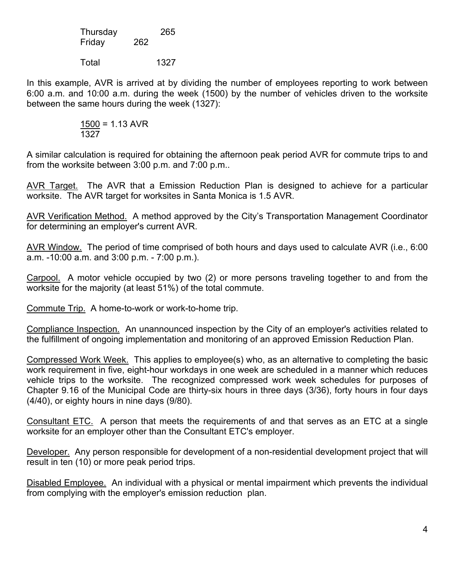| Thursday |     | 265 |
|----------|-----|-----|
| Friday   | 262 |     |

Total 1327

In this example, AVR is arrived at by dividing the number of employees reporting to work between 6:00 a.m. and 10:00 a.m. during the week (1500) by the number of vehicles driven to the worksite between the same hours during the week (1327):

$$
\frac{1500}{1327} = 1.13 \text{ AVR}
$$

A similar calculation is required for obtaining the afternoon peak period AVR for commute trips to and from the worksite between 3:00 p.m. and 7:00 p.m..

AVR Target. The AVR that a Emission Reduction Plan is designed to achieve for a particular worksite. The AVR target for worksites in Santa Monica is 1.5 AVR.

AVR Verification Method. A method approved by the City's Transportation Management Coordinator for determining an employer's current AVR.

AVR Window. The period of time comprised of both hours and days used to calculate AVR (i.e., 6:00 a.m. -10:00 a.m. and 3:00 p.m. - 7:00 p.m.).

Carpool. A motor vehicle occupied by two (2) or more persons traveling together to and from the worksite for the majority (at least 51%) of the total commute.

Commute Trip. A home-to-work or work-to-home trip.

Compliance Inspection. An unannounced inspection by the City of an employer's activities related to the fulfillment of ongoing implementation and monitoring of an approved Emission Reduction Plan.

Compressed Work Week. This applies to employee(s) who, as an alternative to completing the basic work requirement in five, eight-hour workdays in one week are scheduled in a manner which reduces vehicle trips to the worksite. The recognized compressed work week schedules for purposes of Chapter 9.16 of the Municipal Code are thirty-six hours in three days (3/36), forty hours in four days (4/40), or eighty hours in nine days (9/80).

Consultant ETC. A person that meets the requirements of and that serves as an ETC at a single worksite for an employer other than the Consultant ETC's employer.

Developer. Any person responsible for development of a non-residential development project that will result in ten (10) or more peak period trips.

Disabled Employee. An individual with a physical or mental impairment which prevents the individual from complying with the employer's emission reduction plan.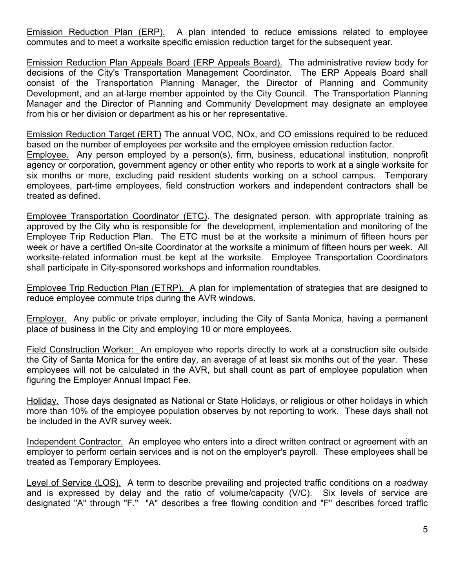Emission Reduction Plan (ERP). A plan intended to reduce emissions related to employee commutes and to meet a worksite specific emission reduction target for the subsequent year.

Emission Reduction Plan Appeals Board (ERP Appeals Board). The administrative review body for decisions of the City's Transportation Management Coordinator. The ERP Appeals Board shall consist of the Transportation Planning Manager, the Director of Planning and Community Development, and an at-large member appointed by the City Council. The Transportation Planning Manager and the Director of Planning and Community Development may designate an employee from his or her division or department as his or her representative.

Emission Reduction Target (ERT) The annual VOC, NOx, and CO emissions required to be reduced based on the number of employees per worksite and the employee emission reduction factor. Employee. Any person employed by a person(s), firm, business, educational institution, nonprofit agency or corporation, government agency or other entity who reports to work at a single worksite for six months or more, excluding paid resident students working on a school campus. Temporary employees, part-time employees, field construction workers and independent contractors shall be treated as defined.

Employee Transportation Coordinator (ETC). The designated person, with appropriate training as approved by the City who is responsible for the development, implementation and monitoring of the Employee Trip Reduction Plan. The ETC must be at the worksite a minimum of fifteen hours per week or have a certified On-site Coordinator at the worksite a minimum of fifteen hours per week. All worksite-related information must be kept at the worksite. Employee Transportation Coordinators shall participate in City-sponsored workshops and information roundtables.

Employee Trip Reduction Plan (ETRP). A plan for implementation of strategies that are designed to reduce employee commute trips during the AVR windows.

Employer. Any public or private employer, including the City of Santa Monica, having a permanent place of business in the City and employing 10 or more employees.

Field Construction Worker: An employee who reports directly to work at a construction site outside the City of Santa Monica for the entire day, an average of at least six months out of the year. These employees will not be calculated in the AVR, but shall count as part of employee population when figuring the Employer Annual Impact Fee.

Holiday. Those days designated as National or State Holidays, or religious or other holidays in which more than 10% of the employee population observes by not reporting to work. These days shall not be included in the AVR survey week.

Independent Contractor. An employee who enters into a direct written contract or agreement with an employer to perform certain services and is not on the employer's payroll. These employees shall be treated as Temporary Employees.

Level of Service (LOS). A term to describe prevailing and projected traffic conditions on a roadway and is expressed by delay and the ratio of volume/capacity (V/C). Six levels of service are designated "A" through "F." "A" describes a free flowing condition and "F" describes forced traffic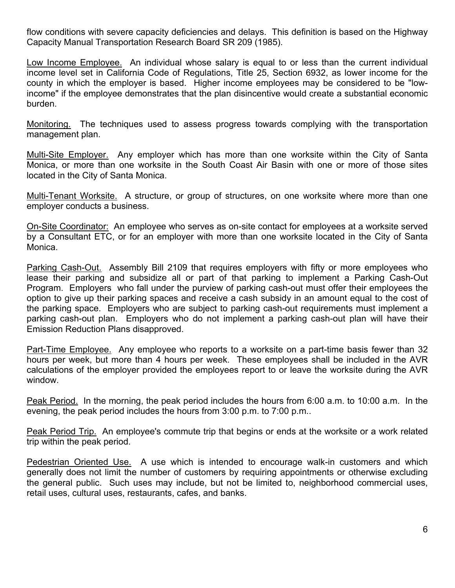flow conditions with severe capacity deficiencies and delays. This definition is based on the Highway Capacity Manual Transportation Research Board SR 209 (1985).

Low Income Employee. An individual whose salary is equal to or less than the current individual income level set in California Code of Regulations, Title 25, Section 6932, as lower income for the county in which the employer is based. Higher income employees may be considered to be "lowincome" if the employee demonstrates that the plan disincentive would create a substantial economic burden.

Monitoring. The techniques used to assess progress towards complying with the transportation management plan.

Multi-Site Employer. Any employer which has more than one worksite within the City of Santa Monica, or more than one worksite in the South Coast Air Basin with one or more of those sites located in the City of Santa Monica.

Multi-Tenant Worksite. A structure, or group of structures, on one worksite where more than one employer conducts a business.

On-Site Coordinator: An employee who serves as on-site contact for employees at a worksite served by a Consultant ETC, or for an employer with more than one worksite located in the City of Santa Monica.

Parking Cash-Out. Assembly Bill 2109 that requires employers with fifty or more employees who lease their parking and subsidize all or part of that parking to implement a Parking Cash-Out Program. Employers who fall under the purview of parking cash-out must offer their employees the option to give up their parking spaces and receive a cash subsidy in an amount equal to the cost of the parking space. Employers who are subject to parking cash-out requirements must implement a parking cash-out plan. Employers who do not implement a parking cash-out plan will have their Emission Reduction Plans disapproved.

Part-Time Employee. Any employee who reports to a worksite on a part-time basis fewer than 32 hours per week, but more than 4 hours per week. These employees shall be included in the AVR calculations of the employer provided the employees report to or leave the worksite during the AVR window.

Peak Period. In the morning, the peak period includes the hours from 6:00 a.m. to 10:00 a.m. In the evening, the peak period includes the hours from 3:00 p.m. to 7:00 p.m..

Peak Period Trip. An employee's commute trip that begins or ends at the worksite or a work related trip within the peak period.

Pedestrian Oriented Use. A use which is intended to encourage walk-in customers and which generally does not limit the number of customers by requiring appointments or otherwise excluding the general public. Such uses may include, but not be limited to, neighborhood commercial uses, retail uses, cultural uses, restaurants, cafes, and banks.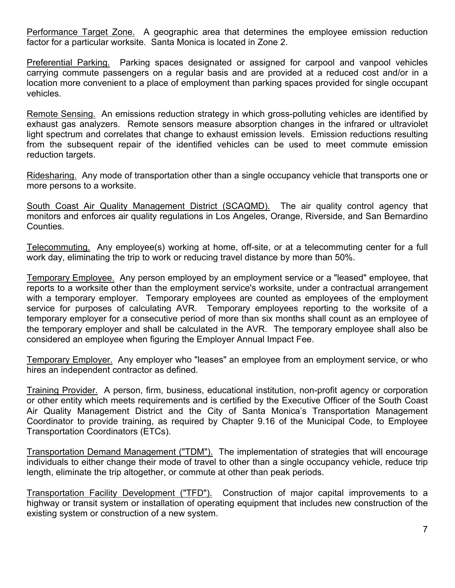Performance Target Zone. A geographic area that determines the employee emission reduction factor for a particular worksite. Santa Monica is located in Zone 2.

Preferential Parking. Parking spaces designated or assigned for carpool and vanpool vehicles carrying commute passengers on a regular basis and are provided at a reduced cost and/or in a location more convenient to a place of employment than parking spaces provided for single occupant vehicles.

Remote Sensing. An emissions reduction strategy in which gross-polluting vehicles are identified by exhaust gas analyzers. Remote sensors measure absorption changes in the infrared or ultraviolet light spectrum and correlates that change to exhaust emission levels. Emission reductions resulting from the subsequent repair of the identified vehicles can be used to meet commute emission reduction targets.

Ridesharing. Any mode of transportation other than a single occupancy vehicle that transports one or more persons to a worksite.

South Coast Air Quality Management District (SCAQMD). The air quality control agency that monitors and enforces air quality regulations in Los Angeles, Orange, Riverside, and San Bernardino Counties.

Telecommuting. Any employee(s) working at home, off-site, or at a telecommuting center for a full work day, eliminating the trip to work or reducing travel distance by more than 50%.

Temporary Employee. Any person employed by an employment service or a "leased" employee, that reports to a worksite other than the employment service's worksite, under a contractual arrangement with a temporary employer. Temporary employees are counted as employees of the employment service for purposes of calculating AVR. Temporary employees reporting to the worksite of a temporary employer for a consecutive period of more than six months shall count as an employee of the temporary employer and shall be calculated in the AVR. The temporary employee shall also be considered an employee when figuring the Employer Annual Impact Fee.

Temporary Employer. Any employer who "leases" an employee from an employment service, or who hires an independent contractor as defined.

Training Provider. A person, firm, business, educational institution, non-profit agency or corporation or other entity which meets requirements and is certified by the Executive Officer of the South Coast Air Quality Management District and the City of Santa Monica's Transportation Management Coordinator to provide training, as required by Chapter 9.16 of the Municipal Code, to Employee Transportation Coordinators (ETCs).

Transportation Demand Management ("TDM"). The implementation of strategies that will encourage individuals to either change their mode of travel to other than a single occupancy vehicle, reduce trip length, eliminate the trip altogether, or commute at other than peak periods.

Transportation Facility Development ("TFD"). Construction of major capital improvements to a highway or transit system or installation of operating equipment that includes new construction of the existing system or construction of a new system.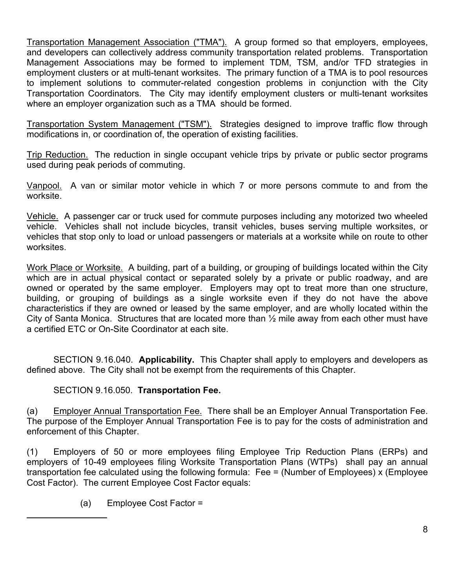Transportation Management Association ("TMA"). A group formed so that employers, employees, and developers can collectively address community transportation related problems. Transportation Management Associations may be formed to implement TDM, TSM, and/or TFD strategies in employment clusters or at multi-tenant worksites. The primary function of a TMA is to pool resources to implement solutions to commuter-related congestion problems in conjunction with the City Transportation Coordinators. The City may identify employment clusters or multi-tenant worksites where an employer organization such as a TMA should be formed.

Transportation System Management ("TSM"). Strategies designed to improve traffic flow through modifications in, or coordination of, the operation of existing facilities.

Trip Reduction. The reduction in single occupant vehicle trips by private or public sector programs used during peak periods of commuting.

Vanpool. A van or similar motor vehicle in which 7 or more persons commute to and from the worksite.

Vehicle. A passenger car or truck used for commute purposes including any motorized two wheeled vehicle. Vehicles shall not include bicycles, transit vehicles, buses serving multiple worksites, or vehicles that stop only to load or unload passengers or materials at a worksite while on route to other worksites.

Work Place or Worksite. A building, part of a building, or grouping of buildings located within the City which are in actual physical contact or separated solely by a private or public roadway, and are owned or operated by the same employer. Employers may opt to treat more than one structure, building, or grouping of buildings as a single worksite even if they do not have the above characteristics if they are owned or leased by the same employer, and are wholly located within the City of Santa Monica. Structures that are located more than ½ mile away from each other must have a certified ETC or On-Site Coordinator at each site.

 SECTION 9.16.040. **Applicability.** This Chapter shall apply to employers and developers as defined above. The City shall not be exempt from the requirements of this Chapter.

### SECTION 9.16.050. **Transportation Fee.**

(a) Employer Annual Transportation Fee. There shall be an Employer Annual Transportation Fee. The purpose of the Employer Annual Transportation Fee is to pay for the costs of administration and enforcement of this Chapter.

(1) Employers of 50 or more employees filing Employee Trip Reduction Plans (ERPs) and employers of 10-49 employees filing Worksite Transportation Plans (WTPs) shall pay an annual transportation fee calculated using the following formula: Fee = (Number of Employees) x (Employee Cost Factor). The current Employee Cost Factor equals:

(a) Employee Cost Factor =

 $\overline{a}$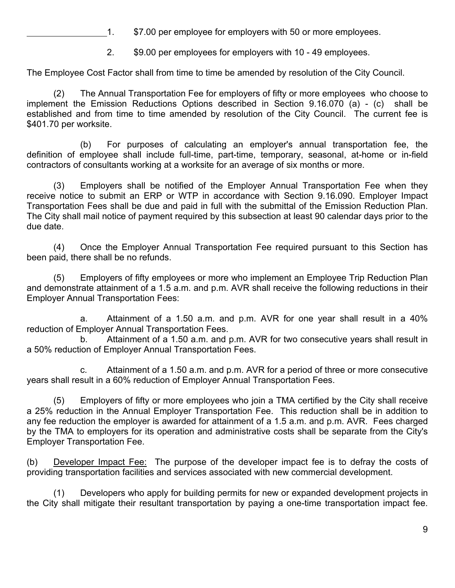1. \$7.00 per employee for employers with 50 or more employees.

2. \$9.00 per employees for employers with 10 - 49 employees.

The Employee Cost Factor shall from time to time be amended by resolution of the City Council.

 (2) The Annual Transportation Fee for employers of fifty or more employees who choose to implement the Emission Reductions Options described in Section 9.16.070 (a) - (c) shall be established and from time to time amended by resolution of the City Council. The current fee is \$401.70 per worksite.

 (b) For purposes of calculating an employer's annual transportation fee, the definition of employee shall include full-time, part-time, temporary, seasonal, at-home or in-field contractors of consultants working at a worksite for an average of six months or more.

 (3) Employers shall be notified of the Employer Annual Transportation Fee when they receive notice to submit an ERP or WTP in accordance with Section 9.16.090. Employer Impact Transportation Fees shall be due and paid in full with the submittal of the Emission Reduction Plan. The City shall mail notice of payment required by this subsection at least 90 calendar days prior to the due date.

 (4) Once the Employer Annual Transportation Fee required pursuant to this Section has been paid, there shall be no refunds.

 (5) Employers of fifty employees or more who implement an Employee Trip Reduction Plan and demonstrate attainment of a 1.5 a.m. and p.m. AVR shall receive the following reductions in their Employer Annual Transportation Fees:

 a. Attainment of a 1.50 a.m. and p.m. AVR for one year shall result in a 40% reduction of Employer Annual Transportation Fees.

 b. Attainment of a 1.50 a.m. and p.m. AVR for two consecutive years shall result in a 50% reduction of Employer Annual Transportation Fees.

 c. Attainment of a 1.50 a.m. and p.m. AVR for a period of three or more consecutive years shall result in a 60% reduction of Employer Annual Transportation Fees.

 (5) Employers of fifty or more employees who join a TMA certified by the City shall receive a 25% reduction in the Annual Employer Transportation Fee. This reduction shall be in addition to any fee reduction the employer is awarded for attainment of a 1.5 a.m. and p.m. AVR. Fees charged by the TMA to employers for its operation and administrative costs shall be separate from the City's Employer Transportation Fee.

(b) Developer Impact Fee: The purpose of the developer impact fee is to defray the costs of providing transportation facilities and services associated with new commercial development.

 (1) Developers who apply for building permits for new or expanded development projects in the City shall mitigate their resultant transportation by paying a one-time transportation impact fee.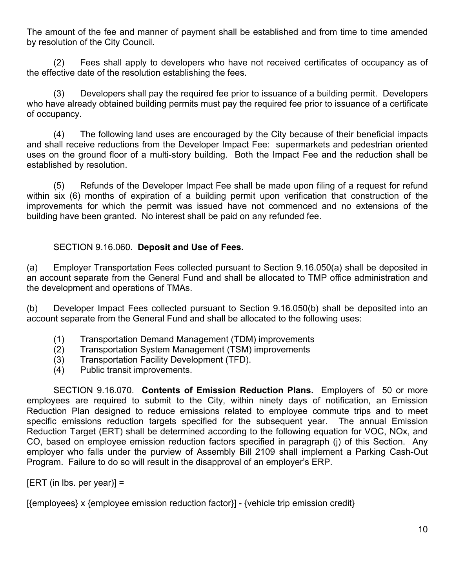The amount of the fee and manner of payment shall be established and from time to time amended by resolution of the City Council.

 (2) Fees shall apply to developers who have not received certificates of occupancy as of the effective date of the resolution establishing the fees.

 (3) Developers shall pay the required fee prior to issuance of a building permit. Developers who have already obtained building permits must pay the required fee prior to issuance of a certificate of occupancy.

 (4) The following land uses are encouraged by the City because of their beneficial impacts and shall receive reductions from the Developer Impact Fee: supermarkets and pedestrian oriented uses on the ground floor of a multi-story building. Both the Impact Fee and the reduction shall be established by resolution.

 (5) Refunds of the Developer Impact Fee shall be made upon filing of a request for refund within six (6) months of expiration of a building permit upon verification that construction of the improvements for which the permit was issued have not commenced and no extensions of the building have been granted. No interest shall be paid on any refunded fee.

## SECTION 9.16.060. **Deposit and Use of Fees.**

(a) Employer Transportation Fees collected pursuant to Section 9.16.050(a) shall be deposited in an account separate from the General Fund and shall be allocated to TMP office administration and the development and operations of TMAs.

(b) Developer Impact Fees collected pursuant to Section 9.16.050(b) shall be deposited into an account separate from the General Fund and shall be allocated to the following uses:

- (1) Transportation Demand Management (TDM) improvements
- (2) Transportation System Management (TSM) improvements
- (3) Transportation Facility Development (TFD).
- (4) Public transit improvements.

 SECTION 9.16.070. **Contents of Emission Reduction Plans.** Employers of 50 or more employees are required to submit to the City, within ninety days of notification, an Emission Reduction Plan designed to reduce emissions related to employee commute trips and to meet specific emissions reduction targets specified for the subsequent year. The annual Emission Reduction Target (ERT) shall be determined according to the following equation for VOC, NOx, and CO, based on employee emission reduction factors specified in paragraph (j) of this Section. Any employer who falls under the purview of Assembly Bill 2109 shall implement a Parking Cash-Out Program. Failure to do so will result in the disapproval of an employer's ERP.

 $[ERT (in lbs. per year)] =$ 

[{employees} x {employee emission reduction factor}] - {vehicle trip emission credit}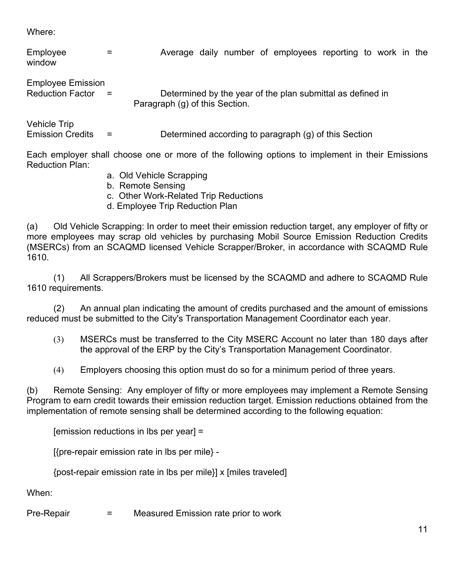Where:

| Employee<br>window                                  | =   | Average daily number of employees reporting to work in the                                   |
|-----------------------------------------------------|-----|----------------------------------------------------------------------------------------------|
| <b>Employee Emission</b><br><b>Reduction Factor</b> | $=$ | Determined by the year of the plan submittal as defined in<br>Paragraph (g) of this Section. |
| <b>Vehicle Trip</b><br><b>Emission Credits</b>      |     | Determined according to paragraph (g) of this Section                                        |

Each employer shall choose one or more of the following options to implement in their Emissions Reduction Plan:

- a. Old Vehicle Scrapping
- b. Remote Sensing
- c. Other Work-Related Trip Reductions
- d. Employee Trip Reduction Plan

(a) Old Vehicle Scrapping: In order to meet their emission reduction target, any employer of fifty or more employees may scrap old vehicles by purchasing Mobil Source Emission Reduction Credits (MSERCs) from an SCAQMD licensed Vehicle Scrapper/Broker, in accordance with SCAQMD Rule 1610.

 (1) All Scrappers/Brokers must be licensed by the SCAQMD and adhere to SCAQMD Rule 1610 requirements.

 (2) An annual plan indicating the amount of credits purchased and the amount of emissions reduced must be submitted to the City's Transportation Management Coordinator each year.

- (3) MSERCs must be transferred to the City MSERC Account no later than 180 days after the approval of the ERP by the City's Transportation Management Coordinator.
- (4) Employers choosing this option must do so for a minimum period of three years.

(b) Remote Sensing: Any employer of fifty or more employees may implement a Remote Sensing Program to earn credit towards their emission reduction target. Emission reductions obtained from the implementation of remote sensing shall be determined according to the following equation:

[emission reductions in lbs per year] =

[{pre-repair emission rate in lbs per mile} -

{post-repair emission rate in lbs per mile}] x [miles traveled]

When:

Pre-Repair = Measured Emission rate prior to work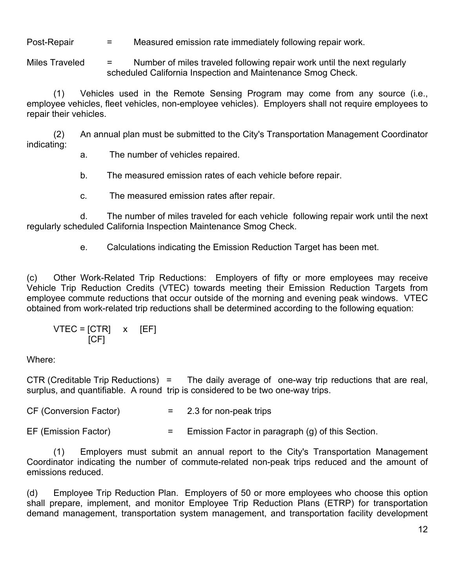Post-Repair  $=$  Measured emission rate immediately following repair work.

Miles Traveled  $=$  Number of miles traveled following repair work until the next regularly scheduled California Inspection and Maintenance Smog Check.

 (1) Vehicles used in the Remote Sensing Program may come from any source (i.e., employee vehicles, fleet vehicles, non-employee vehicles). Employers shall not require employees to repair their vehicles.

 (2) An annual plan must be submitted to the City's Transportation Management Coordinator indicating:

a. The number of vehicles repaired.

b. The measured emission rates of each vehicle before repair.

c. The measured emission rates after repair.

 d. The number of miles traveled for each vehicle following repair work until the next regularly scheduled California Inspection Maintenance Smog Check.

e. Calculations indicating the Emission Reduction Target has been met.

(c) Other Work-Related Trip Reductions: Employers of fifty or more employees may receive Vehicle Trip Reduction Credits (VTEC) towards meeting their Emission Reduction Targets from employee commute reductions that occur outside of the morning and evening peak windows. VTEC obtained from work-related trip reductions shall be determined according to the following equation:

$$
VTEC = [CTR] \times [EF]
$$
  
[CF]

Where:

CTR (Creditable Trip Reductions) = The daily average of one-way trip reductions that are real, surplus, and quantifiable. A round trip is considered to be two one-way trips.

 $CF (Conversion Factor)$  = 2.3 for non-peak trips

EF (Emission Factor)  $=$  Emission Factor in paragraph (g) of this Section.

 (1) Employers must submit an annual report to the City's Transportation Management Coordinator indicating the number of commute-related non-peak trips reduced and the amount of emissions reduced.

(d) Employee Trip Reduction Plan. Employers of 50 or more employees who choose this option shall prepare, implement, and monitor Employee Trip Reduction Plans (ETRP) for transportation demand management, transportation system management, and transportation facility development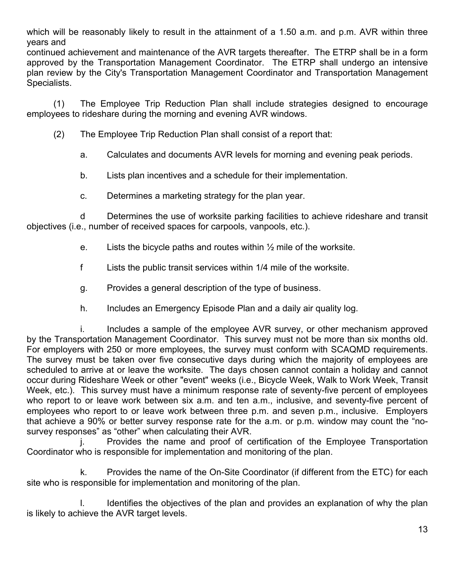which will be reasonably likely to result in the attainment of a 1.50 a.m. and p.m. AVR within three years and

continued achievement and maintenance of the AVR targets thereafter. The ETRP shall be in a form approved by the Transportation Management Coordinator. The ETRP shall undergo an intensive plan review by the City's Transportation Management Coordinator and Transportation Management Specialists.

 (1) The Employee Trip Reduction Plan shall include strategies designed to encourage employees to rideshare during the morning and evening AVR windows.

(2) The Employee Trip Reduction Plan shall consist of a report that:

a. Calculates and documents AVR levels for morning and evening peak periods.

b. Lists plan incentives and a schedule for their implementation.

c. Determines a marketing strategy for the plan year.

 d Determines the use of worksite parking facilities to achieve rideshare and transit objectives (i.e., number of received spaces for carpools, vanpools, etc.).

- e. Lists the bicycle paths and routes within  $\frac{1}{2}$  mile of the worksite.
- f Lists the public transit services within 1/4 mile of the worksite.
- g. Provides a general description of the type of business.
- h. Includes an Emergency Episode Plan and a daily air quality log.

i. Includes a sample of the employee AVR survey, or other mechanism approved by the Transportation Management Coordinator. This survey must not be more than six months old. For employers with 250 or more employees, the survey must conform with SCAQMD requirements. The survey must be taken over five consecutive days during which the majority of employees are scheduled to arrive at or leave the worksite. The days chosen cannot contain a holiday and cannot occur during Rideshare Week or other "event" weeks (i.e., Bicycle Week, Walk to Work Week, Transit Week, etc.). This survey must have a minimum response rate of seventy-five percent of employees who report to or leave work between six a.m. and ten a.m., inclusive, and seventy-five percent of employees who report to or leave work between three p.m. and seven p.m., inclusive. Employers that achieve a 90% or better survey response rate for the a.m. or p.m. window may count the "nosurvey responses" as "other" when calculating their AVR.

 j. Provides the name and proof of certification of the Employee Transportation Coordinator who is responsible for implementation and monitoring of the plan.

 k. Provides the name of the On-Site Coordinator (if different from the ETC) for each site who is responsible for implementation and monitoring of the plan.

I. Identifies the objectives of the plan and provides an explanation of why the plan is likely to achieve the AVR target levels.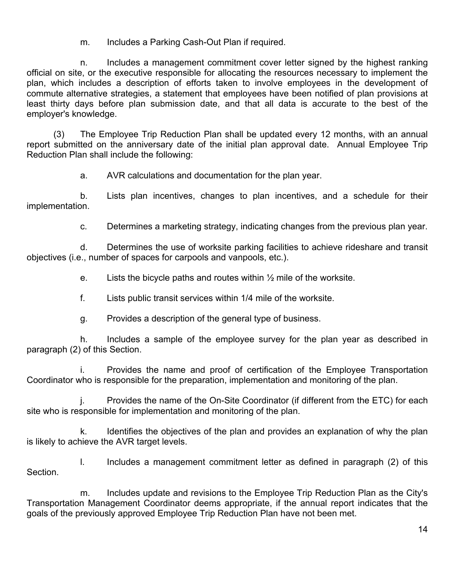m. Includes a Parking Cash-Out Plan if required.

 n. Includes a management commitment cover letter signed by the highest ranking official on site, or the executive responsible for allocating the resources necessary to implement the plan, which includes a description of efforts taken to involve employees in the development of commute alternative strategies, a statement that employees have been notified of plan provisions at least thirty days before plan submission date, and that all data is accurate to the best of the employer's knowledge.

 (3) The Employee Trip Reduction Plan shall be updated every 12 months, with an annual report submitted on the anniversary date of the initial plan approval date. Annual Employee Trip Reduction Plan shall include the following:

a. AVR calculations and documentation for the plan year.

 b. Lists plan incentives, changes to plan incentives, and a schedule for their implementation.

c. Determines a marketing strategy, indicating changes from the previous plan year.

 d. Determines the use of worksite parking facilities to achieve rideshare and transit objectives (i.e., number of spaces for carpools and vanpools, etc.).

e. Lists the bicycle paths and routes within  $\frac{1}{2}$  mile of the worksite.

f. Lists public transit services within 1/4 mile of the worksite.

g. Provides a description of the general type of business.

 h. Includes a sample of the employee survey for the plan year as described in paragraph (2) of this Section.

 i. Provides the name and proof of certification of the Employee Transportation Coordinator who is responsible for the preparation, implementation and monitoring of the plan.

 j. Provides the name of the On-Site Coordinator (if different from the ETC) for each site who is responsible for implementation and monitoring of the plan.

 k. Identifies the objectives of the plan and provides an explanation of why the plan is likely to achieve the AVR target levels.

 l. Includes a management commitment letter as defined in paragraph (2) of this Section.

 m. Includes update and revisions to the Employee Trip Reduction Plan as the City's Transportation Management Coordinator deems appropriate, if the annual report indicates that the goals of the previously approved Employee Trip Reduction Plan have not been met.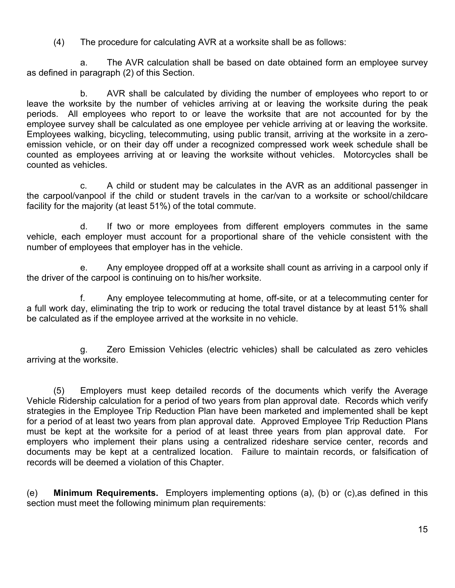(4) The procedure for calculating AVR at a worksite shall be as follows:

 a. The AVR calculation shall be based on date obtained form an employee survey as defined in paragraph (2) of this Section.

 b. AVR shall be calculated by dividing the number of employees who report to or leave the worksite by the number of vehicles arriving at or leaving the worksite during the peak periods. All employees who report to or leave the worksite that are not accounted for by the employee survey shall be calculated as one employee per vehicle arriving at or leaving the worksite. Employees walking, bicycling, telecommuting, using public transit, arriving at the worksite in a zeroemission vehicle, or on their day off under a recognized compressed work week schedule shall be counted as employees arriving at or leaving the worksite without vehicles. Motorcycles shall be counted as vehicles.

 c. A child or student may be calculates in the AVR as an additional passenger in the carpool/vanpool if the child or student travels in the car/van to a worksite or school/childcare facility for the majority (at least 51%) of the total commute.

 d. If two or more employees from different employers commutes in the same vehicle, each employer must account for a proportional share of the vehicle consistent with the number of employees that employer has in the vehicle.

 e. Any employee dropped off at a worksite shall count as arriving in a carpool only if the driver of the carpool is continuing on to his/her worksite.

 f. Any employee telecommuting at home, off-site, or at a telecommuting center for a full work day, eliminating the trip to work or reducing the total travel distance by at least 51% shall be calculated as if the employee arrived at the worksite in no vehicle.

 g. Zero Emission Vehicles (electric vehicles) shall be calculated as zero vehicles arriving at the worksite.

 (5) Employers must keep detailed records of the documents which verify the Average Vehicle Ridership calculation for a period of two years from plan approval date. Records which verify strategies in the Employee Trip Reduction Plan have been marketed and implemented shall be kept for a period of at least two years from plan approval date. Approved Employee Trip Reduction Plans must be kept at the worksite for a period of at least three years from plan approval date. For employers who implement their plans using a centralized rideshare service center, records and documents may be kept at a centralized location. Failure to maintain records, or falsification of records will be deemed a violation of this Chapter.

(e) **Minimum Requirements.** Employers implementing options (a), (b) or (c),as defined in this section must meet the following minimum plan requirements: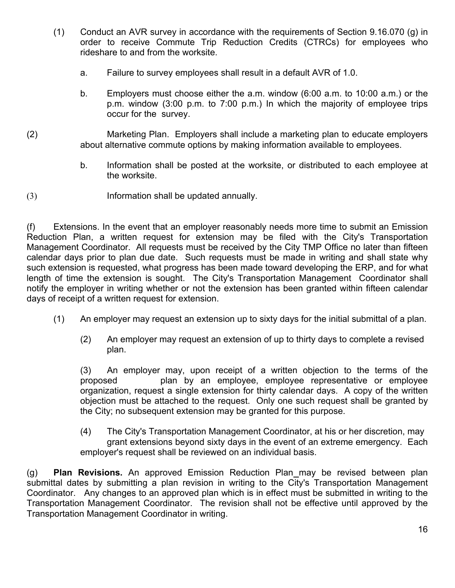- (1) Conduct an AVR survey in accordance with the requirements of Section 9.16.070 (g) in order to receive Commute Trip Reduction Credits (CTRCs) for employees who rideshare to and from the worksite.
	- a. Failure to survey employees shall result in a default AVR of 1.0.
	- b. Employers must choose either the a.m. window (6:00 a.m. to 10:00 a.m.) or the p.m. window (3:00 p.m. to 7:00 p.m.) In which the majority of employee trips occur for the survey.
- (2) Marketing Plan. Employers shall include a marketing plan to educate employers about alternative commute options by making information available to employees.
	- b. Information shall be posted at the worksite, or distributed to each employee at the worksite.
- (3) Information shall be updated annually.

(f) Extensions. In the event that an employer reasonably needs more time to submit an Emission Reduction Plan, a written request for extension may be filed with the City's Transportation Management Coordinator. All requests must be received by the City TMP Office no later than fifteen calendar days prior to plan due date. Such requests must be made in writing and shall state why such extension is requested, what progress has been made toward developing the ERP, and for what length of time the extension is sought. The City's Transportation Management Coordinator shall notify the employer in writing whether or not the extension has been granted within fifteen calendar days of receipt of a written request for extension.

- (1) An employer may request an extension up to sixty days for the initial submittal of a plan.
	- (2) An employer may request an extension of up to thirty days to complete a revised plan.

 (3) An employer may, upon receipt of a written objection to the terms of the proposed plan by an employee, employee representative or employee organization, request a single extension for thirty calendar days. A copy of the written objection must be attached to the request. Only one such request shall be granted by the City; no subsequent extension may be granted for this purpose.

 (4) The City's Transportation Management Coordinator, at his or her discretion, may grant extensions beyond sixty days in the event of an extreme emergency. Each employer's request shall be reviewed on an individual basis.

(g) **Plan Revisions.** An approved Emission Reduction Plan may be revised between plan submittal dates by submitting a plan revision in writing to the City's Transportation Management Coordinator. Any changes to an approved plan which is in effect must be submitted in writing to the Transportation Management Coordinator. The revision shall not be effective until approved by the Transportation Management Coordinator in writing.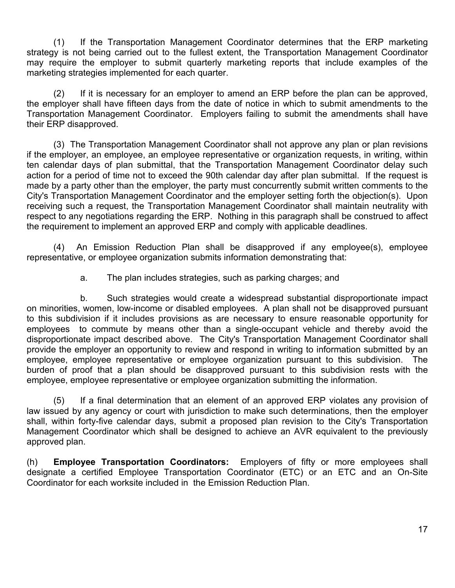(1) If the Transportation Management Coordinator determines that the ERP marketing strategy is not being carried out to the fullest extent, the Transportation Management Coordinator may require the employer to submit quarterly marketing reports that include examples of the marketing strategies implemented for each quarter.

 (2) If it is necessary for an employer to amend an ERP before the plan can be approved, the employer shall have fifteen days from the date of notice in which to submit amendments to the Transportation Management Coordinator. Employers failing to submit the amendments shall have their ERP disapproved.

 (3) The Transportation Management Coordinator shall not approve any plan or plan revisions if the employer, an employee, an employee representative or organization requests, in writing, within ten calendar days of plan submittal, that the Transportation Management Coordinator delay such action for a period of time not to exceed the 90th calendar day after plan submittal. If the request is made by a party other than the employer, the party must concurrently submit written comments to the City's Transportation Management Coordinator and the employer setting forth the objection(s). Upon receiving such a request, the Transportation Management Coordinator shall maintain neutrality with respect to any negotiations regarding the ERP. Nothing in this paragraph shall be construed to affect the requirement to implement an approved ERP and comply with applicable deadlines.

 (4) An Emission Reduction Plan shall be disapproved if any employee(s), employee representative, or employee organization submits information demonstrating that:

a. The plan includes strategies, such as parking charges; and

 b. Such strategies would create a widespread substantial disproportionate impact on minorities, women, low-income or disabled employees. A plan shall not be disapproved pursuant to this subdivision if it includes provisions as are necessary to ensure reasonable opportunity for employees to commute by means other than a single-occupant vehicle and thereby avoid the disproportionate impact described above. The City's Transportation Management Coordinator shall provide the employer an opportunity to review and respond in writing to information submitted by an employee, employee representative or employee organization pursuant to this subdivision. The burden of proof that a plan should be disapproved pursuant to this subdivision rests with the employee, employee representative or employee organization submitting the information.

 (5) If a final determination that an element of an approved ERP violates any provision of law issued by any agency or court with jurisdiction to make such determinations, then the employer shall, within forty-five calendar days, submit a proposed plan revision to the City's Transportation Management Coordinator which shall be designed to achieve an AVR equivalent to the previously approved plan.

(h) **Employee Transportation Coordinators:** Employers of fifty or more employees shall designate a certified Employee Transportation Coordinator (ETC) or an ETC and an On-Site Coordinator for each worksite included in the Emission Reduction Plan.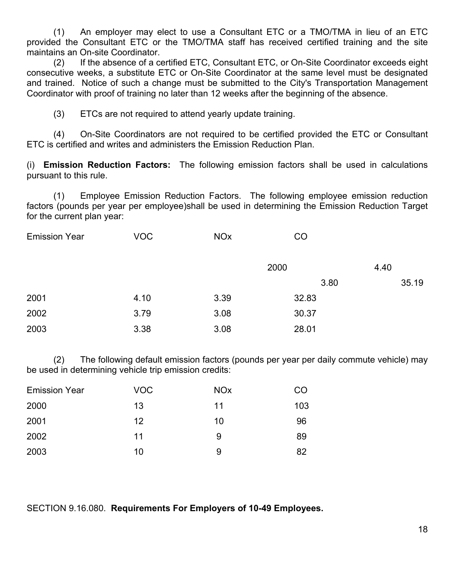(1) An employer may elect to use a Consultant ETC or a TMO/TMA in lieu of an ETC provided the Consultant ETC or the TMO/TMA staff has received certified training and the site maintains an On-site Coordinator.

 (2) If the absence of a certified ETC, Consultant ETC, or On-Site Coordinator exceeds eight consecutive weeks, a substitute ETC or On-Site Coordinator at the same level must be designated and trained. Notice of such a change must be submitted to the City's Transportation Management Coordinator with proof of training no later than 12 weeks after the beginning of the absence.

(3) ETCs are not required to attend yearly update training.

 (4) On-Site Coordinators are not required to be certified provided the ETC or Consultant ETC is certified and writes and administers the Emission Reduction Plan.

(i) **Emission Reduction Factors:** The following emission factors shall be used in calculations pursuant to this rule.

 (1) Employee Emission Reduction Factors. The following employee emission reduction factors (pounds per year per employee)shall be used in determining the Emission Reduction Target for the current plan year:

| <b>Emission Year</b> | <b>VOC</b> | <b>NO<sub>x</sub></b> | CO    |       |
|----------------------|------------|-----------------------|-------|-------|
|                      |            |                       | 2000  | 4.40  |
|                      |            |                       | 3.80  | 35.19 |
| 2001                 | 4.10       | 3.39                  | 32.83 |       |
| 2002                 | 3.79       | 3.08                  | 30.37 |       |
| 2003                 | 3.38       | 3.08                  | 28.01 |       |

 (2) The following default emission factors (pounds per year per daily commute vehicle) may be used in determining vehicle trip emission credits:

| <b>VOC</b> | <b>NO<sub>x</sub></b> | CO  |
|------------|-----------------------|-----|
| 13         | 11                    | 103 |
| 12         | 10                    | 96  |
| 11         | 9                     | 89  |
| 10         | 9                     | 82  |
|            |                       |     |

SECTION 9.16.080. **Requirements For Employers of 10-49 Employees.**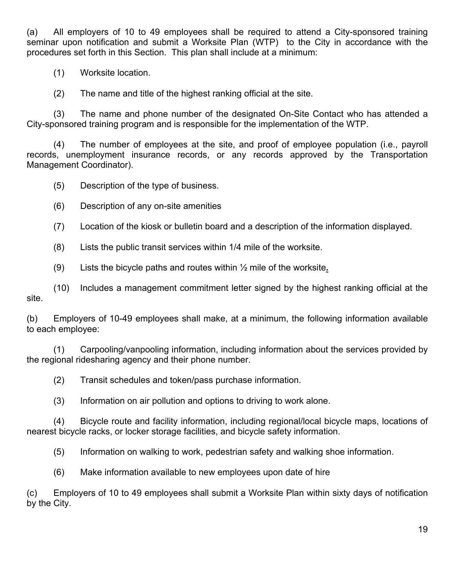(a) All employers of 10 to 49 employees shall be required to attend a City-sponsored training seminar upon notification and submit a Worksite Plan (WTP) to the City in accordance with the procedures set forth in this Section. This plan shall include at a minimum:

(1) Worksite location.

(2) The name and title of the highest ranking official at the site.

 (3) The name and phone number of the designated On-Site Contact who has attended a City-sponsored training program and is responsible for the implementation of the WTP.

 (4) The number of employees at the site, and proof of employee population (i.e., payroll records, unemployment insurance records, or any records approved by the Transportation Management Coordinator).

(5) Description of the type of business.

- (6) Description of any on-site amenities
- (7) Location of the kiosk or bulletin board and a description of the information displayed.
- (8) Lists the public transit services within 1/4 mile of the worksite.
- (9) Lists the bicycle paths and routes within ½ mile of the worksite**.**

 (10) Includes a management commitment letter signed by the highest ranking official at the site.

(b) Employers of 10-49 employees shall make, at a minimum, the following information available to each employee:

 (1) Carpooling/vanpooling information, including information about the services provided by the regional ridesharing agency and their phone number.

(2) Transit schedules and token/pass purchase information.

(3) Information on air pollution and options to driving to work alone.

 (4) Bicycle route and facility information, including regional/local bicycle maps, locations of nearest bicycle racks, or locker storage facilities, and bicycle safety information.

(5) Information on walking to work, pedestrian safety and walking shoe information.

(6) Make information available to new employees upon date of hire

(c) Employers of 10 to 49 employees shall submit a Worksite Plan within sixty days of notification by the City.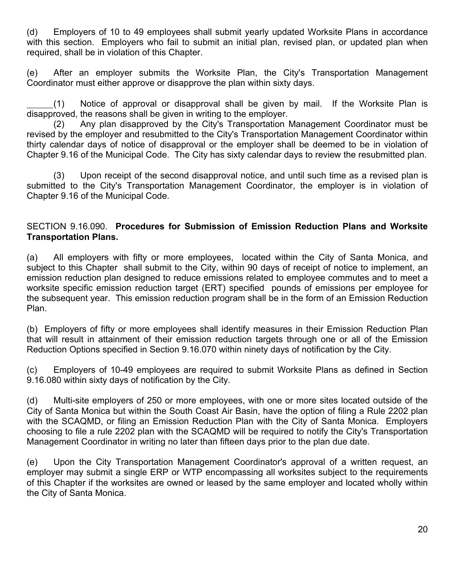(d) Employers of 10 to 49 employees shall submit yearly updated Worksite Plans in accordance with this section. Employers who fail to submit an initial plan, revised plan, or updated plan when required, shall be in violation of this Chapter.

(e) After an employer submits the Worksite Plan, the City's Transportation Management Coordinator must either approve or disapprove the plan within sixty days.

(1) Notice of approval or disapproval shall be given by mail. If the Worksite Plan is disapproved, the reasons shall be given in writing to the employer.

 (2) Any plan disapproved by the City's Transportation Management Coordinator must be revised by the employer and resubmitted to the City's Transportation Management Coordinator within thirty calendar days of notice of disapproval or the employer shall be deemed to be in violation of Chapter 9.16 of the Municipal Code. The City has sixty calendar days to review the resubmitted plan.

 (3) Upon receipt of the second disapproval notice, and until such time as a revised plan is submitted to the City's Transportation Management Coordinator, the employer is in violation of Chapter 9.16 of the Municipal Code.

#### SECTION 9.16.090. **Procedures for Submission of Emission Reduction Plans and Worksite Transportation Plans.**

(a) All employers with fifty or more employees, located within the City of Santa Monica, and subject to this Chapter shall submit to the City, within 90 days of receipt of notice to implement, an emission reduction plan designed to reduce emissions related to employee commutes and to meet a worksite specific emission reduction target (ERT) specified pounds of emissions per employee for the subsequent year. This emission reduction program shall be in the form of an Emission Reduction Plan.

(b) Employers of fifty or more employees shall identify measures in their Emission Reduction Plan that will result in attainment of their emission reduction targets through one or all of the Emission Reduction Options specified in Section 9.16.070 within ninety days of notification by the City.

(c) Employers of 10-49 employees are required to submit Worksite Plans as defined in Section 9.16.080 within sixty days of notification by the City.

(d) Multi-site employers of 250 or more employees, with one or more sites located outside of the City of Santa Monica but within the South Coast Air Basin, have the option of filing a Rule 2202 plan with the SCAQMD, or filing an Emission Reduction Plan with the City of Santa Monica. Employers choosing to file a rule 2202 plan with the SCAQMD will be required to notify the City's Transportation Management Coordinator in writing no later than fifteen days prior to the plan due date.

(e) Upon the City Transportation Management Coordinator's approval of a written request, an employer may submit a single ERP or WTP encompassing all worksites subject to the requirements of this Chapter if the worksites are owned or leased by the same employer and located wholly within the City of Santa Monica.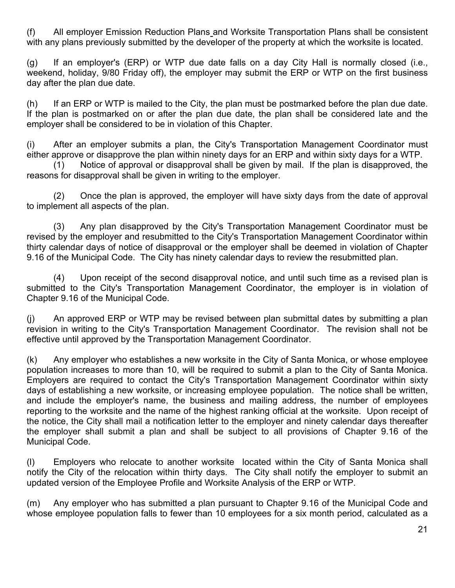(f) All employer Emission Reduction Plans and Worksite Transportation Plans shall be consistent with any plans previously submitted by the developer of the property at which the worksite is located.

(g) If an employer's (ERP) or WTP due date falls on a day City Hall is normally closed (i.e., weekend, holiday, 9/80 Friday off), the employer may submit the ERP or WTP on the first business day after the plan due date.

(h) If an ERP or WTP is mailed to the City, the plan must be postmarked before the plan due date. If the plan is postmarked on or after the plan due date, the plan shall be considered late and the employer shall be considered to be in violation of this Chapter.

(i) After an employer submits a plan, the City's Transportation Management Coordinator must either approve or disapprove the plan within ninety days for an ERP and within sixty days for a WTP.

 (1) Notice of approval or disapproval shall be given by mail. If the plan is disapproved, the reasons for disapproval shall be given in writing to the employer.

 (2) Once the plan is approved, the employer will have sixty days from the date of approval to implement all aspects of the plan.

 (3) Any plan disapproved by the City's Transportation Management Coordinator must be revised by the employer and resubmitted to the City's Transportation Management Coordinator within thirty calendar days of notice of disapproval or the employer shall be deemed in violation of Chapter 9.16 of the Municipal Code. The City has ninety calendar days to review the resubmitted plan.

 (4) Upon receipt of the second disapproval notice, and until such time as a revised plan is submitted to the City's Transportation Management Coordinator, the employer is in violation of Chapter 9.16 of the Municipal Code.

(j) An approved ERP or WTP may be revised between plan submittal dates by submitting a plan revision in writing to the City's Transportation Management Coordinator. The revision shall not be effective until approved by the Transportation Management Coordinator.

(k) Any employer who establishes a new worksite in the City of Santa Monica, or whose employee population increases to more than 10, will be required to submit a plan to the City of Santa Monica. Employers are required to contact the City's Transportation Management Coordinator within sixty days of establishing a new worksite, or increasing employee population. The notice shall be written, and include the employer's name, the business and mailing address, the number of employees reporting to the worksite and the name of the highest ranking official at the worksite. Upon receipt of the notice, the City shall mail a notification letter to the employer and ninety calendar days thereafter the employer shall submit a plan and shall be subject to all provisions of Chapter 9.16 of the Municipal Code.

(l) Employers who relocate to another worksite located within the City of Santa Monica shall notify the City of the relocation within thirty days. The City shall notify the employer to submit an updated version of the Employee Profile and Worksite Analysis of the ERP or WTP.

(m) Any employer who has submitted a plan pursuant to Chapter 9.16 of the Municipal Code and whose employee population falls to fewer than 10 employees for a six month period, calculated as a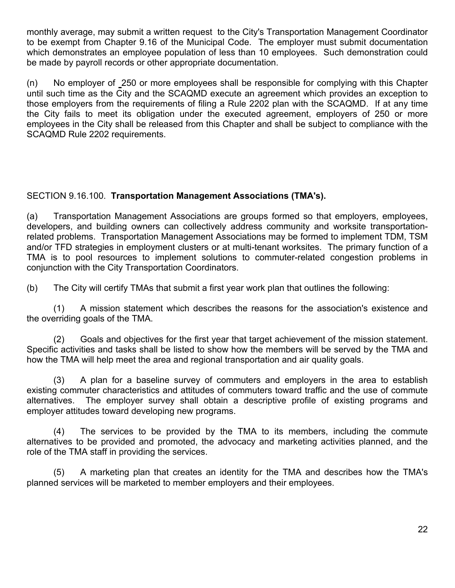monthly average, may submit a written request to the City's Transportation Management Coordinator to be exempt from Chapter 9.16 of the Municipal Code. The employer must submit documentation which demonstrates an employee population of less than 10 employees. Such demonstration could be made by payroll records or other appropriate documentation.

(n) No employer of 250 or more employees shall be responsible for complying with this Chapter until such time as the City and the SCAQMD execute an agreement which provides an exception to those employers from the requirements of filing a Rule 2202 plan with the SCAQMD. If at any time the City fails to meet its obligation under the executed agreement, employers of 250 or more employees in the City shall be released from this Chapter and shall be subject to compliance with the SCAQMD Rule 2202 requirements.

## SECTION 9.16.100. **Transportation Management Associations (TMA's).**

(a) Transportation Management Associations are groups formed so that employers, employees, developers, and building owners can collectively address community and worksite transportationrelated problems. Transportation Management Associations may be formed to implement TDM, TSM and/or TFD strategies in employment clusters or at multi-tenant worksites. The primary function of a TMA is to pool resources to implement solutions to commuter-related congestion problems in conjunction with the City Transportation Coordinators.

(b) The City will certify TMAs that submit a first year work plan that outlines the following:

 (1) A mission statement which describes the reasons for the association's existence and the overriding goals of the TMA.

 (2) Goals and objectives for the first year that target achievement of the mission statement. Specific activities and tasks shall be listed to show how the members will be served by the TMA and how the TMA will help meet the area and regional transportation and air quality goals.

 (3) A plan for a baseline survey of commuters and employers in the area to establish existing commuter characteristics and attitudes of commuters toward traffic and the use of commute alternatives. The employer survey shall obtain a descriptive profile of existing programs and employer attitudes toward developing new programs.

 (4) The services to be provided by the TMA to its members, including the commute alternatives to be provided and promoted, the advocacy and marketing activities planned, and the role of the TMA staff in providing the services.

 (5) A marketing plan that creates an identity for the TMA and describes how the TMA's planned services will be marketed to member employers and their employees.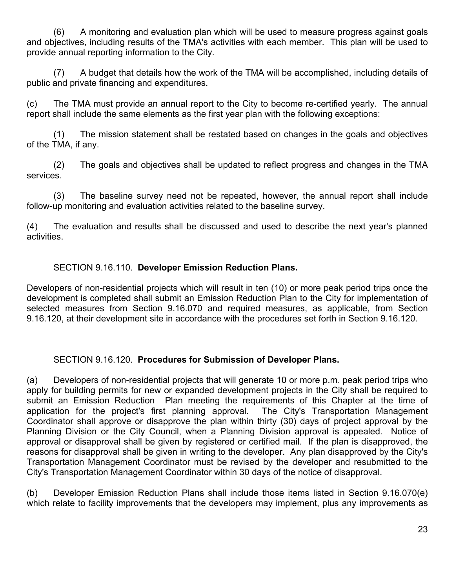(6) A monitoring and evaluation plan which will be used to measure progress against goals and objectives, including results of the TMA's activities with each member. This plan will be used to provide annual reporting information to the City.

 (7) A budget that details how the work of the TMA will be accomplished, including details of public and private financing and expenditures.

(c) The TMA must provide an annual report to the City to become re-certified yearly. The annual report shall include the same elements as the first year plan with the following exceptions:

 (1) The mission statement shall be restated based on changes in the goals and objectives of the TMA, if any.

 (2) The goals and objectives shall be updated to reflect progress and changes in the TMA services.

 (3) The baseline survey need not be repeated, however, the annual report shall include follow-up monitoring and evaluation activities related to the baseline survey.

(4) The evaluation and results shall be discussed and used to describe the next year's planned activities.

## SECTION 9.16.110. **Developer Emission Reduction Plans.**

Developers of non-residential projects which will result in ten (10) or more peak period trips once the development is completed shall submit an Emission Reduction Plan to the City for implementation of selected measures from Section 9.16.070 and required measures, as applicable, from Section 9.16.120, at their development site in accordance with the procedures set forth in Section 9.16.120.

### SECTION 9.16.120. **Procedures for Submission of Developer Plans.**

(a) Developers of non-residential projects that will generate 10 or more p.m. peak period trips who apply for building permits for new or expanded development projects in the City shall be required to submit an Emission Reduction Plan meeting the requirements of this Chapter at the time of application for the project's first planning approval. The City's Transportation Management Coordinator shall approve or disapprove the plan within thirty (30) days of project approval by the Planning Division or the City Council, when a Planning Division approval is appealed. Notice of approval or disapproval shall be given by registered or certified mail. If the plan is disapproved, the reasons for disapproval shall be given in writing to the developer. Any plan disapproved by the City's Transportation Management Coordinator must be revised by the developer and resubmitted to the City's Transportation Management Coordinator within 30 days of the notice of disapproval.

(b) Developer Emission Reduction Plans shall include those items listed in Section 9.16.070(e) which relate to facility improvements that the developers may implement, plus any improvements as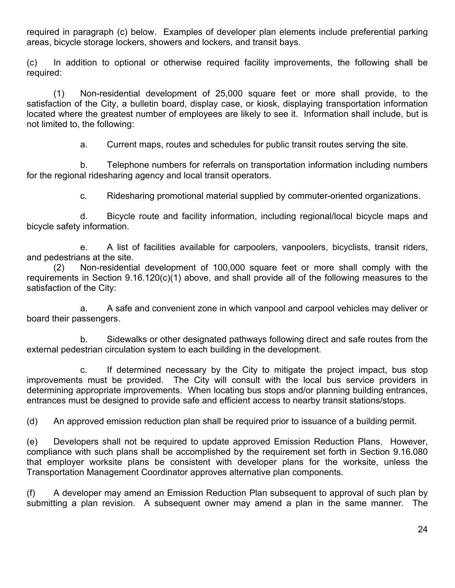required in paragraph (c) below. Examples of developer plan elements include preferential parking areas, bicycle storage lockers, showers and lockers, and transit bays.

(c) In addition to optional or otherwise required facility improvements, the following shall be required:

 (1) Non-residential development of 25,000 square feet or more shall provide, to the satisfaction of the City, a bulletin board, display case, or kiosk, displaying transportation information located where the greatest number of employees are likely to see it. Information shall include, but is not limited to, the following:

a. Current maps, routes and schedules for public transit routes serving the site.

 b. Telephone numbers for referrals on transportation information including numbers for the regional ridesharing agency and local transit operators.

c. Ridesharing promotional material supplied by commuter-oriented organizations.

 d. Bicycle route and facility information, including regional/local bicycle maps and bicycle safety information.

 e. A list of facilities available for carpoolers, vanpoolers, bicyclists, transit riders, and pedestrians at the site.

 (2) Non-residential development of 100,000 square feet or more shall comply with the requirements in Section 9.16.120(c)(1) above, and shall provide all of the following measures to the satisfaction of the City:

 a. A safe and convenient zone in which vanpool and carpool vehicles may deliver or board their passengers.

 b. Sidewalks or other designated pathways following direct and safe routes from the external pedestrian circulation system to each building in the development.

 c. If determined necessary by the City to mitigate the project impact, bus stop improvements must be provided. The City will consult with the local bus service providers in determining appropriate improvements. When locating bus stops and/or planning building entrances, entrances must be designed to provide safe and efficient access to nearby transit stations/stops.

(d) An approved emission reduction plan shall be required prior to issuance of a building permit.

(e) Developers shall not be required to update approved Emission Reduction Plans. However, compliance with such plans shall be accomplished by the requirement set forth in Section 9.16.080 that employer worksite plans be consistent with developer plans for the worksite, unless the Transportation Management Coordinator approves alternative plan components.

(f) A developer may amend an Emission Reduction Plan subsequent to approval of such plan by submitting a plan revision. A subsequent owner may amend a plan in the same manner. The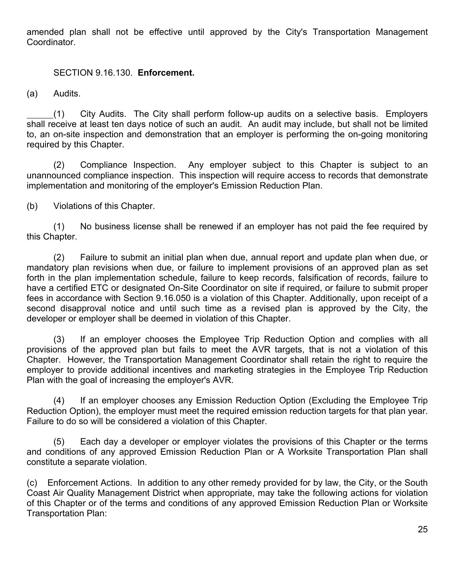amended plan shall not be effective until approved by the City's Transportation Management Coordinator.

#### SECTION 9.16.130. **Enforcement.**

(a) Audits.

(1) City Audits. The City shall perform follow-up audits on a selective basis. Employers shall receive at least ten days notice of such an audit. An audit may include, but shall not be limited to, an on-site inspection and demonstration that an employer is performing the on-going monitoring required by this Chapter.

 (2) Compliance Inspection. Any employer subject to this Chapter is subject to an unannounced compliance inspection. This inspection will require access to records that demonstrate implementation and monitoring of the employer's Emission Reduction Plan.

(b) Violations of this Chapter.

 (1) No business license shall be renewed if an employer has not paid the fee required by this Chapter.

 (2) Failure to submit an initial plan when due, annual report and update plan when due, or mandatory plan revisions when due, or failure to implement provisions of an approved plan as set forth in the plan implementation schedule, failure to keep records, falsification of records, failure to have a certified ETC or designated On-Site Coordinator on site if required, or failure to submit proper fees in accordance with Section 9.16.050 is a violation of this Chapter. Additionally, upon receipt of a second disapproval notice and until such time as a revised plan is approved by the City, the developer or employer shall be deemed in violation of this Chapter.

 (3) If an employer chooses the Employee Trip Reduction Option and complies with all provisions of the approved plan but fails to meet the AVR targets, that is not a violation of this Chapter. However, the Transportation Management Coordinator shall retain the right to require the employer to provide additional incentives and marketing strategies in the Employee Trip Reduction Plan with the goal of increasing the employer's AVR.

 (4) If an employer chooses any Emission Reduction Option (Excluding the Employee Trip Reduction Option), the employer must meet the required emission reduction targets for that plan year. Failure to do so will be considered a violation of this Chapter.

 (5) Each day a developer or employer violates the provisions of this Chapter or the terms and conditions of any approved Emission Reduction Plan or A Worksite Transportation Plan shall constitute a separate violation.

(c) Enforcement Actions. In addition to any other remedy provided for by law, the City, or the South Coast Air Quality Management District when appropriate, may take the following actions for violation of this Chapter or of the terms and conditions of any approved Emission Reduction Plan or Worksite Transportation Plan: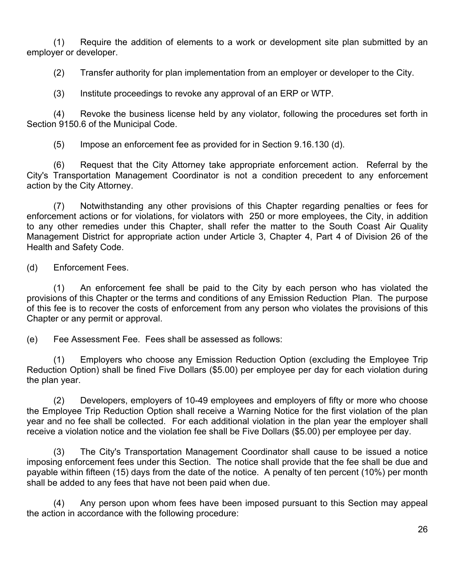(1) Require the addition of elements to a work or development site plan submitted by an employer or developer.

(2) Transfer authority for plan implementation from an employer or developer to the City.

(3) Institute proceedings to revoke any approval of an ERP or WTP.

 (4) Revoke the business license held by any violator, following the procedures set forth in Section 9150.6 of the Municipal Code.

(5) Impose an enforcement fee as provided for in Section 9.16.130 (d).

 (6) Request that the City Attorney take appropriate enforcement action. Referral by the City's Transportation Management Coordinator is not a condition precedent to any enforcement action by the City Attorney.

 (7) Notwithstanding any other provisions of this Chapter regarding penalties or fees for enforcement actions or for violations, for violators with 250 or more employees, the City, in addition to any other remedies under this Chapter, shall refer the matter to the South Coast Air Quality Management District for appropriate action under Article 3, Chapter 4, Part 4 of Division 26 of the Health and Safety Code.

(d) Enforcement Fees.

 (1) An enforcement fee shall be paid to the City by each person who has violated the provisions of this Chapter or the terms and conditions of any Emission Reduction Plan. The purpose of this fee is to recover the costs of enforcement from any person who violates the provisions of this Chapter or any permit or approval.

(e) Fee Assessment Fee. Fees shall be assessed as follows:

 (1) Employers who choose any Emission Reduction Option (excluding the Employee Trip Reduction Option) shall be fined Five Dollars (\$5.00) per employee per day for each violation during the plan year.

 (2) Developers, employers of 10-49 employees and employers of fifty or more who choose the Employee Trip Reduction Option shall receive a Warning Notice for the first violation of the plan year and no fee shall be collected. For each additional violation in the plan year the employer shall receive a violation notice and the violation fee shall be Five Dollars (\$5.00) per employee per day.

 (3) The City's Transportation Management Coordinator shall cause to be issued a notice imposing enforcement fees under this Section. The notice shall provide that the fee shall be due and payable within fifteen (15) days from the date of the notice. A penalty of ten percent (10%) per month shall be added to any fees that have not been paid when due.

 (4) Any person upon whom fees have been imposed pursuant to this Section may appeal the action in accordance with the following procedure: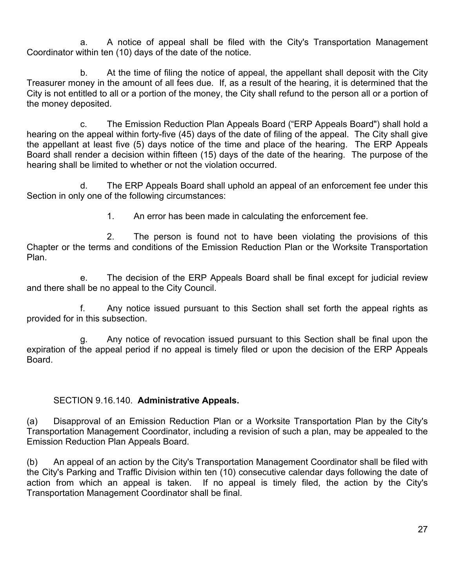a. A notice of appeal shall be filed with the City's Transportation Management Coordinator within ten (10) days of the date of the notice.

 b. At the time of filing the notice of appeal, the appellant shall deposit with the City Treasurer money in the amount of all fees due. If, as a result of the hearing, it is determined that the City is not entitled to all or a portion of the money, the City shall refund to the person all or a portion of the money deposited.

 c. The Emission Reduction Plan Appeals Board ("ERP Appeals Board") shall hold a hearing on the appeal within forty-five (45) days of the date of filing of the appeal. The City shall give the appellant at least five (5) days notice of the time and place of the hearing. The ERP Appeals Board shall render a decision within fifteen (15) days of the date of the hearing. The purpose of the hearing shall be limited to whether or not the violation occurred.

 d. The ERP Appeals Board shall uphold an appeal of an enforcement fee under this Section in only one of the following circumstances:

1. An error has been made in calculating the enforcement fee.

 2. The person is found not to have been violating the provisions of this Chapter or the terms and conditions of the Emission Reduction Plan or the Worksite Transportation Plan.

 e. The decision of the ERP Appeals Board shall be final except for judicial review and there shall be no appeal to the City Council.

 f. Any notice issued pursuant to this Section shall set forth the appeal rights as provided for in this subsection.

 g. Any notice of revocation issued pursuant to this Section shall be final upon the expiration of the appeal period if no appeal is timely filed or upon the decision of the ERP Appeals Board.

# SECTION 9.16.140. **Administrative Appeals.**

(a) Disapproval of an Emission Reduction Plan or a Worksite Transportation Plan by the City's Transportation Management Coordinator, including a revision of such a plan, may be appealed to the Emission Reduction Plan Appeals Board.

(b) An appeal of an action by the City's Transportation Management Coordinator shall be filed with the City's Parking and Traffic Division within ten (10) consecutive calendar days following the date of action from which an appeal is taken. If no appeal is timely filed, the action by the City's Transportation Management Coordinator shall be final.